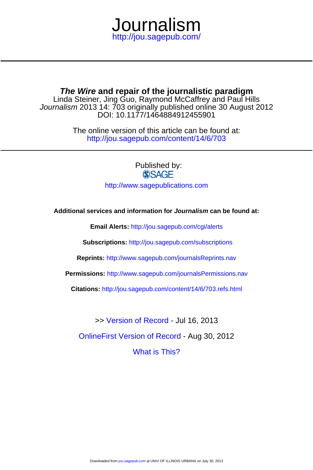# <http://jou.sagepub.com/> Journalism

# **The Wire and repair of the journalistic paradigm**

DOI: 10.1177/1464884912455901 Journalism 2013 14: 703 originally published online 30 August 2012 Linda Steiner, Jing Guo, Raymond McCaffrey and Paul Hills

> <http://jou.sagepub.com/content/14/6/703> The online version of this article can be found at:

> > Published by:<br>
> > SAGE <http://www.sagepublications.com>

**Additional services and information for Journalism can be found at:**

**Email Alerts:** <http://jou.sagepub.com/cgi/alerts>

**Subscriptions:** <http://jou.sagepub.com/subscriptions>

**Reprints:** <http://www.sagepub.com/journalsReprints.nav>

**Permissions:** <http://www.sagepub.com/journalsPermissions.nav>

**Citations:** <http://jou.sagepub.com/content/14/6/703.refs.html>

>> [Version of Record -](http://jou.sagepub.com/content/14/6/703.full.pdf) Jul 16, 2013

[OnlineFirst Version of Record -](http://jou.sagepub.com/content/early/2012/08/08/1464884912455901.full.pdf) Aug 30, 2012

[What is This?](http://online.sagepub.com/site/sphelp/vorhelp.xhtml)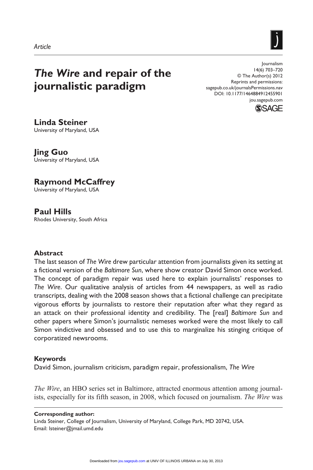

# *The Wire* **and repair of the journalistic paradigm**

Journalism 14(6) 703–720 © The Author(s) 2012 Reprints and permissions: sagepub.co.uk/journalsPermissions.nav DOI: 10.1177/1464884912455901 jou.sagepub.com



# **Linda Steiner**

University of Maryland, USA

**Jing Guo** University of Maryland, USA

#### **Raymond McCaffrey** University of Maryland, USA

#### **Paul Hills** Rhodes University, South Africa

### **Abstract**

The last season of *The Wire* drew particular attention from journalists given its setting at a fictional version of the *Baltimore Sun*, where show creator David Simon once worked. The concept of paradigm repair was used here to explain journalists' responses to *The Wire*. Our qualitative analysis of articles from 44 newspapers, as well as radio transcripts, dealing with the 2008 season shows that a fictional challenge can precipitate vigorous efforts by journalists to restore their reputation after what they regard as an attack on their professional identity and credibility. The [real] *Baltimore Sun* and other papers where Simon's journalistic nemeses worked were the most likely to call Simon vindictive and obsessed and to use this to marginalize his stinging critique of corporatized newsrooms.

### **Keywords**

David Simon, journalism criticism, paradigm repair, professionalism, *The Wire*

*The Wire*, an HBO series set in Baltimore, attracted enormous attention among journalists, especially for its fifth season, in 2008, which focused on journalism. *The Wire* was

#### **Corresponding author:**

Linda Steiner, College of Journalism, University of Maryland, College Park, MD 20742, USA. Email: lsteiner@jmail.umd.edu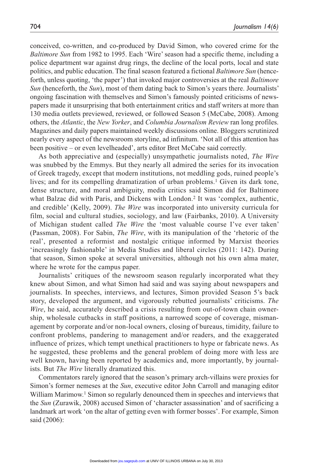conceived, co-written, and co-produced by David Simon, who covered crime for the *Baltimore Sun* from 1982 to 1995. Each 'Wire' season had a specific theme, including a police department war against drug rings, the decline of the local ports, local and state politics, and public education. The final season featured a fictional *Baltimore Sun* (henceforth, unless quoting, 'the paper') that invoked major controversies at the real *Baltimore Sun* (henceforth, the *Sun*), most of them dating back to Simon's years there. Journalists' ongoing fascination with themselves and Simon's famously pointed criticisms of newspapers made it unsurprising that both entertainment critics and staff writers at more than 130 media outlets previewed, reviewed, or followed Season 5 (McCabe, 2008). Among others, the *Atlantic*, the *New Yorker*, and *Columbia Journalism Review* ran long profiles. Magazines and daily papers maintained weekly discussions online. Bloggers scrutinized nearly every aspect of the newsroom storyline, ad infinitum. 'Not all of this attention has been positive – or even levelheaded', arts editor Bret McCabe said correctly.

As both appreciative and (especially) unsympathetic journalists noted, *The Wire* was snubbed by the Emmys. But they nearly all admired the series for its invocation of Greek tragedy, except that modern institutions, not meddling gods, ruined people's lives; and for its compelling dramatization of urban problems.<sup>1</sup> Given its dark tone, dense structure, and moral ambiguity, media critics said Simon did for Baltimore what Balzac did with Paris, and Dickens with London.<sup>2</sup> It was 'complex, authentic, and credible' (Kelly, 2009). *The Wire* was incorporated into university curricula for film, social and cultural studies, sociology, and law (Fairbanks, 2010). A University of Michigan student called *The Wire* the 'most valuable course I've ever taken' (Passman, 2008). For Sabin, *The Wire*, with its manipulation of the 'rhetoric of the real', presented a reformist and nostalgic critique informed by Marxist theories 'increasingly fashionable' in Media Studies and liberal circles (2011: 142). During that season, Simon spoke at several universities, although not his own alma mater, where he wrote for the campus paper.

Journalists' critiques of the newsroom season regularly incorporated what they knew about Simon, and what Simon had said and was saying about newspapers and journalists. In speeches, interviews, and lectures, Simon provided Season 5's back story, developed the argument, and vigorously rebutted journalists' criticisms. *The Wire*, he said, accurately described a crisis resulting from out-of-town chain ownership, wholesale cutbacks in staff positions, a narrowed scope of coverage, mismanagement by corporate and/or non-local owners, closing of bureaus, timidity, failure to confront problems, pandering to management and/or readers, and the exaggerated influence of prizes, which tempt unethical practitioners to hype or fabricate news. As he suggested, these problems and the general problem of doing more with less are well known, having been reported by academics and, more importantly, by journalists. But *The Wire* literally dramatized this.

Commentators rarely ignored that the season's primary arch-villains were proxies for Simon's former nemeses at the *Sun*, executive editor John Carroll and managing editor William Marimow.<sup>1</sup> Simon so regularly denounced them in speeches and interviews that the *Sun* (Zurawik, 2008) accused Simon of 'character assassination' and of sacrificing a landmark art work 'on the altar of getting even with former bosses'. For example, Simon said (2006):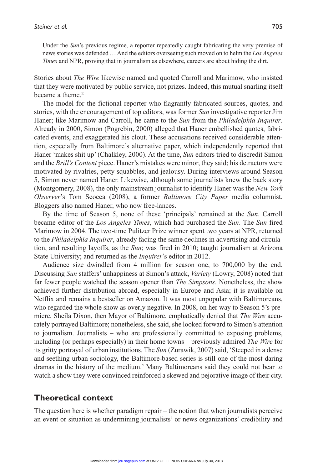Under the *Sun*'s previous regime, a reporter repeatedly caught fabricating the very premise of news stories was defended … And the editors overseeing such moved on to helm the *Los Angeles Times* and NPR, proving that in journalism as elsewhere, careers are about hiding the dirt.

Stories about *The Wire* likewise named and quoted Carroll and Marimow, who insisted that they were motivated by public service, not prizes. Indeed, this mutual snarling itself became a theme.2

The model for the fictional reporter who flagrantly fabricated sources, quotes, and stories, with the encouragement of top editors, was former *Sun* investigative reporter Jim Haner; like Marimow and Carroll, he came to the *Sun* from the *Philadelphia Inquirer*. Already in 2000, Simon (Pogrebin, 2000) alleged that Haner embellished quotes, fabricated events, and exaggerated his clout. These accusations received considerable attention, especially from Baltimore's alternative paper, which independently reported that Haner 'makes shit up' (Chalkley, 2000). At the time, *Sun* editors tried to discredit Simon and the *Brill's Content* piece. Haner's mistakes were minor, they said; his detractors were motivated by rivalries, petty squabbles, and jealousy. During interviews around Season 5, Simon never named Haner. Likewise, although some journalists knew the back story (Montgomery, 2008), the only mainstream journalist to identify Haner was the *New York Observer*'s Tom Scocca (2008), a former *Baltimore City Paper* media columnist. Bloggers also named Haner, who now free-lances.

By the time of Season 5, none of these 'principals' remained at the *Sun*. Carroll became editor of the *Los Angeles Times*, which had purchased the *Sun*. The *Sun* fired Marimow in 2004. The two-time Pulitzer Prize winner spent two years at NPR, returned to the *Philadelphia Inquirer*, already facing the same declines in advertising and circulation, and resulting layoffs, as the *Sun*; was fired in 2010; taught journalism at Arizona State University; and returned as the *Inquirer*'s editor in 2012.

Audience size dwindled from 4 million for season one, to 700,000 by the end. Discussing *Sun* staffers' unhappiness at Simon's attack, *Variety* (Lowry, 2008) noted that far fewer people watched the season opener than *The Simpsons*. Nonetheless, the show achieved further distribution abroad, especially in Europe and Asia; it is available on Netflix and remains a bestseller on Amazon. It was most unpopular with Baltimoreans, who regarded the whole show as overly negative. In 2008, on her way to Season 5's premiere, Sheila Dixon, then Mayor of Baltimore, emphatically denied that *The Wire* accurately portrayed Baltimore; nonetheless, she said, she looked forward to Simon's attention to journalism. Journalists – who are professionally committed to exposing problems, including (or perhaps especially) in their home towns – previously admired *The Wire* for its gritty portrayal of urban institutions. The *Sun* (Zurawik, 2007) said, 'Steeped in a dense and seething urban sociology, the Baltimore-based series is still one of the most daring dramas in the history of the medium.' Many Baltimoreans said they could not bear to watch a show they were convinced reinforced a skewed and pejorative image of their city.

### **Theoretical context**

The question here is whether paradigm repair – the notion that when journalists perceive an event or situation as undermining journalists' or news organizations' credibility and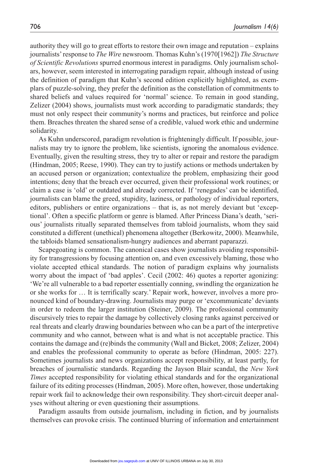authority they will go to great efforts to restore their own image and reputation – explains journalists' response to *The Wire* newsroom. Thomas Kuhn's (1970[1962]) *The Structure of Scientific Revolutions* spurred enormous interest in paradigms. Only journalism scholars, however, seem interested in interrogating paradigm repair, although instead of using the definition of paradigm that Kuhn's second edition explicitly highlighted, as exemplars of puzzle-solving, they prefer the definition as the constellation of commitments to shared beliefs and values required for 'normal' science. To remain in good standing, Zelizer (2004) shows, journalists must work according to paradigmatic standards; they must not only respect their community's norms and practices, but reinforce and police them. Breaches threaten the shared sense of a credible, valued work ethic and undermine solidarity.

As Kuhn underscored, paradigm revolution is frighteningly difficult. If possible, journalists may try to ignore the problem, like scientists, ignoring the anomalous evidence. Eventually, given the resulting stress, they try to alter or repair and restore the paradigm (Hindman, 2005; Reese, 1990). They can try to justify actions or methods undertaken by an accused person or organization; contextualize the problem, emphasizing their good intentions; deny that the breach ever occurred, given their professional work routines; or claim a case is 'old' or outdated and already corrected. If 'renegades' can be identified, journalists can blame the greed, stupidity, laziness, or pathology of individual reporters, editors, publishers or entire organizations – that is, as not merely deviant but 'exceptional'. Often a specific platform or genre is blamed. After Princess Diana's death, 'serious' journalists ritually separated themselves from tabloid journalists, whom they said constituted a different (unethical) phenomena altogether (Berkowitz, 2000). Meanwhile, the tabloids blamed sensationalism-hungry audiences and aberrant paparazzi.

Scapegoating is common. The canonical cases show journalists avoiding responsibility for transgressions by focusing attention on, and even excessively blaming, those who violate accepted ethical standards. The notion of paradigm explains why journalists worry about the impact of 'bad apples'. Cecil (2002: 46) quotes a reporter agonizing: 'We're all vulnerable to a bad reporter essentially conning, swindling the organization he or she works for … It is terrifically scary.' Repair work, however, involves a more pronounced kind of boundary-drawing. Journalists may purge or 'excommunicate' deviants in order to redeem the larger institution (Steiner, 2009). The professional community discursively tries to repair the damage by collectively closing ranks against perceived or real threats and clearly drawing boundaries between who can be a part of the interpretive community and who cannot, between what is and what is not acceptable practice. This contains the damage and (re)binds the community (Wall and Bicket, 2008; Zelizer, 2004) and enables the professional community to operate as before (Hindman, 2005: 227). Sometimes journalists and news organizations accept responsibility, at least partly, for breaches of journalistic standards. Regarding the Jayson Blair scandal, the *New York Times* accepted responsibility for violating ethical standards and for the organizational failure of its editing processes (Hindman, 2005). More often, however, those undertaking repair work fail to acknowledge their own responsibility. They short-circuit deeper analyses without altering or even questioning their assumptions.

Paradigm assaults from outside journalism, including in fiction, and by journalists themselves can provoke crisis. The continued blurring of information and entertainment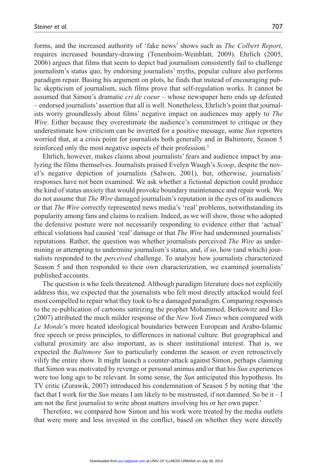forms, and the increased authority of 'fake news' shows such as *The Colbert Report*, requires increased boundary-drawing (Tenenboim-Weinblatt, 2009). Ehrlich (2005, 2006) argues that films that seem to depict bad journalism consistently fail to challenge journalism's status quo; by endorsing journalists' myths, popular culture also performs paradigm repair. Basing his argument on plots, he finds that instead of encouraging public skepticism of journalism, such films prove that self-regulation works. It cannot be assumed that Simon's dramatic *cri de coeur* – whose newspaper hero ends up defeated – endorsed journalists' assertion that all is well. Nonetheless, Ehrlich's point that journalists worry groundlessly about films' negative impact on audiences may apply to *The Wire*. Either because they overestimate the audience's commitment to critique or they underestimate how criticism can be inverted for a positive message, some *Sun* reporters worried that, at a crisis point for journalists both generally and in Baltimore, Season 5 reinforced only the most negative aspects of their profession.3

Ehrlich, however, makes claims about journalists' fears and audience impact by analyzing the films themselves. Journalists praised Evelyn Waugh's *Scoop*, despite the novel's negative depiction of journalists (Salwen, 2001), but, otherwise, journalists' responses have not been examined. We ask whether a fictional depiction could produce the kind of status anxiety that would provoke boundary maintenance and repair work. We do not assume that *The Wire* damaged journalism's reputation in the eyes of its audiences or that *The Wire* correctly represented news media's 'real' problems, notwithstanding its popularity among fans and claims to realism. Indeed, as we will show, those who adopted the defensive posture were not necessarily responding to evidence either that 'actual' ethical violations had caused 'real' damage or that *The Wire* had undermined journalists' reputations. Rather, the question was whether journalists perceived *The Wire* as undermining or attempting to undermine journalism's status, and, if so, how (and which) journalists responded to the *perceived* challenge. To analyze how journalists characterized Season 5 and then responded to their own characterization, we examined journalists' published accounts.

The question is who feels threatened. Although paradigm literature does not explicitly address this, we expected that the journalists who felt most directly attacked would feel most compelled to repair what they took to be a damaged paradigm. Comparing responses to the re-publication of cartoons satirizing the prophet Mohammed, Berkowitz and Eko (2007) attributed the much milder response of the *New York Times* when compared with *Le Monde*'s more heated ideological boundaries between European and Arabo-Islamic free speech or press principles, to differences in national culture. But geographical and cultural proximity are also important, as is sheer institutional interest. That is, we expected the *Baltimore Sun* to particularly condemn the season or even retroactively vilify the entire show. It might launch a counter-attack against Simon, perhaps claiming that Simon was motivated by revenge or personal animus and/or that his *Sun* experiences were too long ago to be relevant. In some sense, the *Sun* anticipated this hypothesis. Its TV critic (Zurawik, 2007) introduced his condemnation of Season 5 by noting that 'the fact that I work for the *Sun* means I am likely to be mistrusted, if not damned. So be it – I am not the first journalist to write about matters involving his or her own paper.'

Therefore, we compared how Simon and his work were treated by the media outlets that were more and less invested in the conflict, based on whether they were directly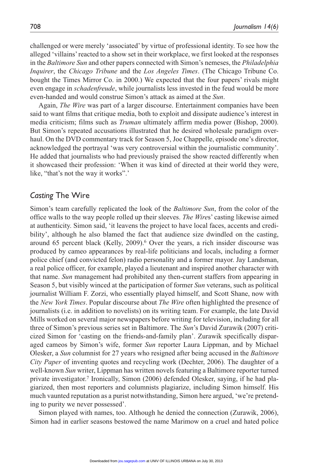challenged or were merely 'associated' by virtue of professional identity. To see how the alleged 'villains' reacted to a show set in their workplace, we first looked at the responses in the *Baltimore Sun* and other papers connected with Simon's nemeses, the *Philadelphia Inquirer*, the *Chicago Tribune* and the *Los Angeles Times*. (The Chicago Tribune Co. bought the Times Mirror Co. in 2000.) We expected that the four papers' rivals might even engage in *schadenfreude*, while journalists less invested in the feud would be more even-handed and would construe Simon's attack as aimed at the *Sun*.

Again, *The Wire* was part of a larger discourse. Entertainment companies have been said to want films that critique media, both to exploit and dissipate audience's interest in media criticism; films such as *Truman* ultimately affirm media power (Bishop, 2000). But Simon's repeated accusations illustrated that he desired wholesale paradigm overhaul. On the DVD commentary track for Season 5, Joe Chappelle, episode one's director, acknowledged the portrayal 'was very controversial within the journalistic community'. He added that journalists who had previously praised the show reacted differently when it showcased their profession: 'When it was kind of directed at their world they were, like, "that's not the way it works".

#### *Casting* The Wire

Simon's team carefully replicated the look of the *Baltimore Sun*, from the color of the office walls to the way people rolled up their sleeves. *The Wire*s' casting likewise aimed at authenticity. Simon said, 'it leavens the project to have local faces, accents and credibility', although he also blamed the fact that audience size dwindled on the casting, around 65 percent black (Kelly, 2009).6 Over the years, a rich insider discourse was produced by cameo appearances by real-life politicians and locals, including a former police chief (and convicted felon) radio personality and a former mayor. Jay Landsman, a real police officer, for example, played a lieutenant and inspired another character with that name. *Sun* management had prohibited any then-current staffers from appearing in Season 5, but visibly winced at the participation of former *Sun* veterans, such as political journalist William F. Zorzi, who essentially played himself, and Scott Shane, now with the *New York Times*. Popular discourse about *The Wire* often highlighted the presence of journalists (i.e. in addition to novelists) on its writing team. For example, the late David Mills worked on several major newspapers before writing for television, including for all three of Simon's previous series set in Baltimore. The *Sun*'s David Zurawik (2007) criticized Simon for 'casting on the friends-and-family plan'. Zurawik specifically disparaged cameos by Simon's wife, former *Sun* reporter Laura Lippman, and by Michael Olesker, a *Sun* columnist for 27 years who resigned after being accused in the *Baltimore City Paper* of inventing quotes and recycling work (Dechter, 2006). The daughter of a well-known *Sun* writer, Lippman has written novels featuring a Baltimore reporter turned private investigator.7 Ironically, Simon (2006) defended Olesker, saying, if he had plagiarized, then most reporters and columnists plagiarize, including Simon himself. His much vaunted reputation as a purist notwithstanding, Simon here argued, 'we're pretending to purity we never possessed'.

Simon played with names, too. Although he denied the connection (Zurawik, 2006), Simon had in earlier seasons bestowed the name Marimow on a cruel and hated police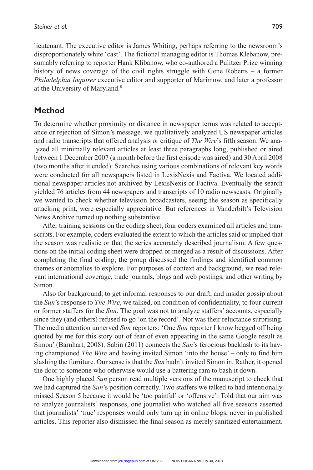lieutenant. The executive editor is James Whiting, perhaps referring to the newsroom's disproportionately white 'cast'. The fictional managing editor is Thomas Klebanow, presumably referring to reporter Hank Klibanow, who co-authored a Pulitzer Prize winning history of news coverage of the civil rights struggle with Gene Roberts – a former *Philadelphia Inquirer* executive editor and supporter of Marimow, and later a professor at the University of Maryland.8

## **Method**

To determine whether proximity or distance in newspaper terms was related to acceptance or rejection of Simon's message, we qualitatively analyzed US newspaper articles and radio transcripts that offered analysis or critique of *The Wire*'s fifth season. We analyzed all minimally relevant articles at least three paragraphs long, published or aired between 1 December 2007 (a month before the first episode was aired) and 30 April 2008 (two months after it ended). Searches using various combinations of relevant key words were conducted for all newspapers listed in LexisNexis and Factiva. We located additional newspaper articles not archived by LexisNexis or Factiva. Eventually the search yielded 76 articles from 44 newspapers and transcripts of 10 radio newscasts. Originally we wanted to check whether television broadcasters, seeing the season as specifically attacking print, were especially appreciative. But references in Vanderbilt's Television News Archive turned up nothing substantive.

After training sessions on the coding sheet, four coders examined all articles and transcripts. For example, coders evaluated the extent to which the articles said or implied that the season was realistic or that the series accurately described journalism. A few questions on the initial coding sheet were dropped or merged as a result of discussions. After completing the final coding, the group discussed the findings and identified common themes or anomalies to explore. For purposes of context and background, we read relevant international coverage, trade journals, blogs and web postings, and other writing by Simon.

Also for background, to get informal responses to our draft, and insider gossip about the *Sun*'s response to *The Wire*, we talked, on condition of confidentiality, to four current or former staffers for the *Sun*. The goal was not to analyze staffers' accounts, especially since they (and others) refused to go 'on the record'. Nor was their reluctance surprising. The media attention unnerved *Sun* reporters: 'One *Sun* reporter I know begged off being quoted by me for this story out of fear of even appearing in the same Google result as Simon' (Barnhart, 2008). Sabin (2011) connects the *Sun*'s ferocious backlash to its having championed *The Wire* and having invited Simon 'into the house' – only to find him slashing the furniture. Our sense is that the *Sun* hadn't invited Simon in. Rather, it opened the door to someone who otherwise would use a battering ram to bash it down.

One highly placed *Sun* person read multiple versions of the manuscript to check that we had captured the *Sun*'s position correctly. Two staffers we talked to had intentionally missed Season 5 because it would be 'too painful' or 'offensive'. Told that our aim was to analyze journalists' responses, one journalist who watched all five seasons asserted that journalists' 'true' responses would only turn up in online blogs, never in published articles. This reporter also dismissed the final season as merely sanitized entertainment.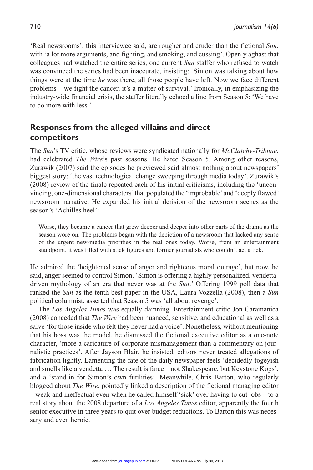'Real newsrooms', this interviewee said, are rougher and cruder than the fictional *Sun*, with 'a lot more arguments, and fighting, and smoking, and cussing'. Openly aghast that colleagues had watched the entire series, one current *Sun* staffer who refused to watch was convinced the series had been inaccurate, insisting: 'Simon was talking about how things were at the time *he* was there, all those people have left. Now we face different problems – we fight the cancer, it's a matter of survival.' Ironically, in emphasizing the industry-wide financial crisis, the staffer literally echoed a line from Season 5: 'We have to do more with less.'

# **Responses from the alleged villains and direct competitors**

The *Sun*'s TV critic, whose reviews were syndicated nationally for *McClatchy-Tribune*, had celebrated *The Wire*'s past seasons. He hated Season 5. Among other reasons, Zurawik (2007) said the episodes he previewed said almost nothing about newspapers' biggest story: 'the vast technological change sweeping through media today'. Zurawik's (2008) review of the finale repeated each of his initial criticisms, including the 'unconvincing, one-dimensional characters' that populated the 'improbable' and 'deeply flawed' newsroom narrative. He expanded his initial derision of the newsroom scenes as the season's 'Achilles heel':

Worse, they became a cancer that grew deeper and deeper into other parts of the drama as the season wore on. The problems began with the depiction of a newsroom that lacked any sense of the urgent new-media priorities in the real ones today. Worse, from an entertainment standpoint, it was filled with stick figures and former journalists who couldn't act a lick.

He admired the 'heightened sense of anger and righteous moral outrage', but now, he said, anger seemed to control Simon. 'Simon is offering a highly personalized, vendettadriven mythology of an era that never was at the *Sun*.' Offering 1999 poll data that ranked the *Sun* as the tenth best paper in the USA, Laura Vozzella (2008), then a *Sun* political columnist, asserted that Season 5 was 'all about revenge'.

The *Los Angeles Times* was equally damning. Entertainment critic Jon Caramanica (2008) conceded that *The Wire* had been nuanced, sensitive, and educational as well as a salve 'for those inside who felt they never had a voice'. Nonetheless, without mentioning that his boss was the model, he dismissed the fictional executive editor as a one-note character, 'more a caricature of corporate mismanagement than a commentary on journalistic practices'. After Jayson Blair, he insisted, editors never treated allegations of fabrication lightly. Lamenting the fate of the daily newspaper feels 'decidedly fogeyish and smells like a vendetta … The result is farce – not Shakespeare, but Keystone Kops', and a 'stand-in for Simon's own futilities'. Meanwhile, Chris Barton, who regularly blogged about *The Wire*, pointedly linked a description of the fictional managing editor – weak and ineffectual even when he called himself 'sick' over having to cut jobs – to a real story about the 2008 departure of a *Los Angeles Times* editor, apparently the fourth senior executive in three years to quit over budget reductions. To Barton this was necessary and even heroic.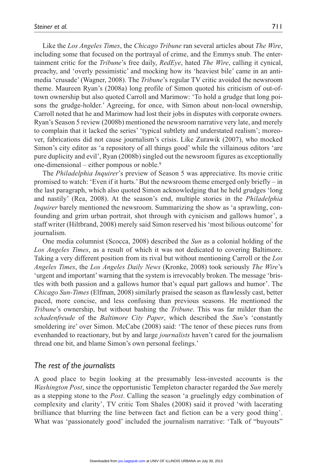Like the *Los Angeles Times*, the *Chicago Tribune* ran several articles about *The Wire*, including some that focused on the portrayal of crime, and the Emmys snub. The entertainment critic for the *Tribune*'s free daily, *RedEye*, hated *The Wire*, calling it cynical, preachy, and 'overly pessimistic' and mocking how its 'heaviest bile' came in an antimedia 'crusade' (Wagner, 2008). The *Tribune*'s regular TV critic avoided the newsroom theme. Maureen Ryan's (2008a) long profile of Simon quoted his criticism of out-oftown ownership but also quoted Carroll and Marimow: 'To hold a grudge that long poisons the grudge-holder.' Agreeing, for once, with Simon about non-local ownership, Carroll noted that he and Marimow had lost their jobs in disputes with corporate owners. Ryan's Season 5 review (2008b) mentioned the newsroom narrative very late, and merely to complain that it lacked the series' 'typical subtlety and understated realism'; moreover, fabrications did not cause journalism's crisis. Like Zurawik (2007), who mocked Simon's city editor as 'a repository of all things good' while the villainous editors 'are pure duplicity and evil', Ryan (2008b) singled out the newsroom figures as exceptionally one-dimensional – either pompous or noble.9

The *Philadelphia Inquirer*'s preview of Season 5 was appreciative. Its movie critic promised to watch: 'Even if it hurts.' But the newsroom theme emerged only briefly – in the last paragraph, which also quoted Simon acknowledging that he held grudges 'long and nastily' (Rea, 2008). At the season's end, multiple stories in the *Philadelphia Inquirer* barely mentioned the newsroom. Summarizing the show as 'a sprawling, confounding and grim urban portrait, shot through with cynicism and gallows humor', a staff writer (Hiltbrand, 2008) merely said Simon reserved his 'most bilious outcome' for journalism.

One media columnist (Scocca, 2008) described the *Sun* as a colonial holding of the *Los Angeles Times*, as a result of which it was not dedicated to covering Baltimore. Taking a very different position from its rival but without mentioning Carroll or the *Los Angeles Times*, the *Los Angeles Daily News* (Kronke, 2008) took seriously *The Wire*'s 'urgent and important' warning that the system is irrevocably broken. The message 'bristles with both passion and a gallows humor that's equal part gallows and humor'. The *Chicago Sun-Times* (Elfman, 2008) similarly praised the season as flawlessly cast, better paced, more concise, and less confusing than previous seasons. He mentioned the *Tribune*'s ownership, but without bashing the *Tribune*. This was far milder than the *schadenfreude* of the *Baltimore City Paper*, which described the *Sun*'s 'constantly smoldering ire' over Simon. McCabe (2008) said: 'The tenor of these pieces runs from evenhanded to reactionary, but by and large *journalists* haven't cared for the journalism thread one bit, and blame Simon's own personal feelings.'

#### *The rest of the journalists*

A good place to begin looking at the presumably less-invested accounts is the *Washington Post*, since the opportunistic Templeton character regarded the *Sun* merely as a stepping stone to the *Post*. Calling the season 'a gruelingly edgy combination of complexity and clarity', TV critic Tom Shales (2008) said it proved 'with lacerating brilliance that blurring the line between fact and fiction can be a very good thing'. What was 'passionately good' included the journalism narrative: 'Talk of "buyouts"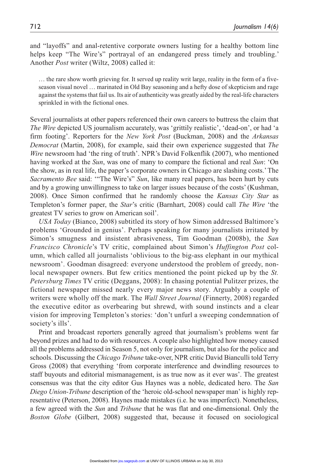and "layoffs" and anal-retentive corporate owners lusting for a healthy bottom line helps keep "The Wire's" portrayal of an endangered press timely and troubling.' Another *Post* writer (Wiltz, 2008) called it:

… the rare show worth grieving for. It served up reality writ large, reality in the form of a fiveseason visual novel … marinated in Old Bay seasoning and a hefty dose of skepticism and rage against the systems that fail us. Its air of authenticity was greatly aided by the real-life characters sprinkled in with the fictional ones.

Several journalists at other papers referenced their own careers to buttress the claim that *The Wire* depicted US journalism accurately, was 'grittily realistic', 'dead-on', or had 'a firm footing'. Reporters for the *New York Post* (Buckman, 2008) and the *Arkansas Democrat* (Martin, 2008), for example, said their own experience suggested that *The Wire* newsroom had 'the ring of truth'. NPR's David Folkenflik (2007), who mentioned having worked at the *Sun*, was one of many to compare the fictional and real *Sun*: 'On the show, as in real life, the paper's corporate owners in Chicago are slashing costs.' The *Sacramento Bee* said: '"The Wire's" *Sun*, like many real papers, has been hurt by cuts and by a growing unwillingness to take on larger issues because of the costs' (Kushman, 2008). Once Simon confirmed that he randomly choose the *Kansas City Star* as Templeton's former paper, the *Star*'s critic (Barnhart, 2008) could call *The Wire* 'the greatest TV series to grow on American soil'.

*USA Today* (Bianco, 2008) subtitled its story of how Simon addressed Baltimore's problems 'Grounded in genius'. Perhaps speaking for many journalists irritated by Simon's smugness and insistent abrasiveness, Tim Goodman (2008b), the *San Francisco Chronicle*'s TV critic, complained about Simon's *Huffington Post* column, which called all journalists 'oblivious to the big-ass elephant in our mythical newsroom'. Goodman disagreed: everyone understood the problem of greedy, nonlocal newspaper owners. But few critics mentioned the point picked up by the *St. Petersburg Times* TV critic (Deggans, 2008): In chasing potential Pulitzer prizes, the fictional newspaper missed nearly every major news story. Arguably a couple of writers were wholly off the mark. The *Wall Street Journal* (Finnerty, 2008) regarded the executive editor as overbearing but shrewd, with sound instincts and a clear vision for improving Templeton's stories: 'don't unfurl a sweeping condemnation of society's ills'.

Print and broadcast reporters generally agreed that journalism's problems went far beyond prizes and had to do with resources. A couple also highlighted how money caused all the problems addressed in Season 5, not only for journalism, but also for the police and schools. Discussing the *Chicago Tribune* take-over, NPR critic David Bianculli told Terry Gross (2008) that everything 'from corporate interference and dwindling resources to staff buyouts and editorial mismanagement, is as true now as it ever was'. The greatest consensus was that the city editor Gus Haynes was a noble, dedicated hero. The *San Diego Union-Tribune* description of the 'heroic old-school newspaper man' is highly representative (Peterson, 2008). Haynes made mistakes (i.e. he was imperfect). Nonetheless, a few agreed with the *Sun* and *Tribune* that he was flat and one-dimensional. Only the *Boston Globe* (Gilbert, 2008) suggested that, because it focused on sociological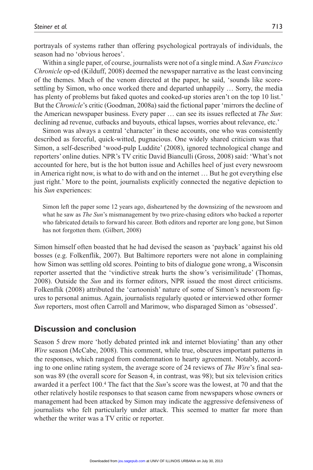portrayals of systems rather than offering psychological portrayals of individuals, the season had no 'obvious heroes'.

Within a single paper, of course, journalists were not of a single mind. A *San Francisco Chronicle* op-ed (Kilduff, 2008) deemed the newspaper narrative as the least convincing of the themes. Much of the venom directed at the paper, he said, 'sounds like scoresettling by Simon, who once worked there and departed unhappily … Sorry, the media has plenty of problems but faked quotes and cooked-up stories aren't on the top 10 list.' But the *Chronicle*'s critic (Goodman, 2008a) said the fictional paper 'mirrors the decline of the American newspaper business. Every paper … can see its issues reflected at *The Sun*: declining ad revenue, cutbacks and buyouts, ethical lapses, worries about relevance, etc.'

Simon was always a central 'character' in these accounts, one who was consistently described as forceful, quick-witted, pugnacious. One widely shared criticism was that Simon, a self-described 'wood-pulp Luddite' (2008), ignored technological change and reporters' online duties. NPR's TV critic David Bianculli (Gross, 2008) said: 'What's not accounted for here, but is the hot button issue and Achilles heel of just every newsroom in America right now, is what to do with and on the internet … But he got everything else just right.' More to the point, journalists explicitly connected the negative depiction to his *Sun* experiences:

Simon left the paper some 12 years ago, disheartened by the downsizing of the newsroom and what he saw as *The Sun*'s mismanagement by two prize-chasing editors who backed a reporter who fabricated details to forward his career. Both editors and reporter are long gone, but Simon has not forgotten them. (Gilbert, 2008)

Simon himself often boasted that he had devised the season as 'payback' against his old bosses (e.g. Folkenflik, 2007). But Baltimore reporters were not alone in complaining how Simon was settling old scores. Pointing to bits of dialogue gone wrong, a Wisconsin reporter asserted that the 'vindictive streak hurts the show's verisimilitude' (Thomas, 2008). Outside the *Sun* and its former editors, NPR issued the most direct criticisms. Folkenflik (2008) attributed the 'cartoonish' nature of some of Simon's newsroom figures to personal animus. Again, journalists regularly quoted or interviewed other former *Sun* reporters, most often Carroll and Marimow, who disparaged Simon as 'obsessed'.

#### **Discussion and conclusion**

Season 5 drew more 'hotly debated printed ink and internet bloviating' than any other *Wire* season (McCabe, 2008). This comment, while true, obscures important patterns in the responses, which ranged from condemnation to hearty agreement. Notably, according to one online rating system, the average score of 24 reviews of *The Wire*'s final season was 89 (the overall score for Season 4, in contrast, was 98); but six television critics awarded it a perfect 100.4 The fact that the *Sun*'s score was the lowest, at 70 and that the other relatively hostile responses to that season came from newspapers whose owners or management had been attacked by Simon may indicate the aggressive defensiveness of journalists who felt particularly under attack. This seemed to matter far more than whether the writer was a TV critic or reporter.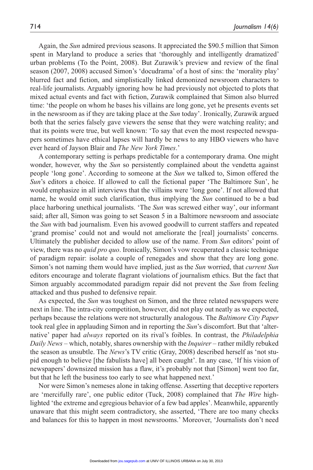Again, the *Sun* admired previous seasons. It appreciated the \$90.5 million that Simon spent in Maryland to produce a series that 'thoroughly and intelligently dramatized' urban problems (To the Point, 2008). But Zurawik's preview and review of the final season (2007, 2008) accused Simon's 'docudrama' of a host of sins: the 'morality play' blurred fact and fiction, and simplistically linked demonized newsroom characters to real-life journalists. Arguably ignoring how he had previously not objected to plots that mixed actual events and fact with fiction, Zurawik complained that Simon also blurred time: 'the people on whom he bases his villains are long gone, yet he presents events set in the newsroom as if they are taking place at the *Sun* today'. Ironically, Zurawik argued both that the series falsely gave viewers the sense that they were watching reality; and that its points were true, but well known: 'To say that even the most respected newspapers sometimes have ethical lapses will hardly be news to any HBO viewers who have ever heard of Jayson Blair and *The New York Times*.'

A contemporary setting is perhaps predictable for a contemporary drama. One might wonder, however, why the *Sun* so persistently complained about the vendetta against people 'long gone'. According to someone at the *Sun* we talked to, Simon offered the *Sun*'s editors a choice. If allowed to call the fictional paper 'The Baltimore Sun', he would emphasize in all interviews that the villains were 'long gone'. If not allowed that name, he would omit such clarification, thus implying the *Sun* continued to be a bad place harboring unethical journalists. 'The *Sun* was screwed either way', our informant said; after all, Simon was going to set Season 5 in a Baltimore newsroom and associate the *Sun* with bad journalism. Even his avowed goodwill to current staffers and repeated 'grand promise' could not and would not ameliorate the [real] journalists' concerns. Ultimately the publisher decided to allow use of the name. From *Sun* editors' point of view, there was no *quid pro quo*. Ironically, Simon's vow recuperated a classic technique of paradigm repair: isolate a couple of renegades and show that they are long gone. Simon's not naming them would have implied, just as the *Sun* worried, that *current Sun* editors encourage and tolerate flagrant violations of journalism ethics. But the fact that Simon arguably accommodated paradigm repair did not prevent the *Sun* from feeling attacked and thus pushed to defensive repair.

As expected, the *Sun* was toughest on Simon, and the three related newspapers were next in line. The intra-city competition, however, did not play out neatly as we expected, perhaps because the relations were not structurally analogous. The *Baltimore City Paper* took real glee in applauding Simon and in reporting the *Sun*'s discomfort. But that 'alternative' paper had *always* reported on its rival's foibles. In contrast, the *Philadelphia Daily News* – which, notably, shares ownership with the *Inquirer* – rather mildly rebuked the season as unsubtle. The *News*'s TV critic (Gray, 2008) described herself as 'not stupid enough to believe [the fabulists have] all been caught'. In any case, 'If his vision of newspapers' downsized mission has a flaw, it's probably not that [Simon] went too far, but that he left the business too early to see what happened next.'

Nor were Simon's nemeses alone in taking offense. Asserting that deceptive reporters are 'mercifully rare', one public editor (Tuck, 2008) complained that *The Wire* highlighted 'the extreme and egregious behavior of a few bad apples'. Meanwhile, apparently unaware that this might seem contradictory, she asserted, 'There are too many checks and balances for this to happen in most newsrooms.' Moreover, 'Journalists don't need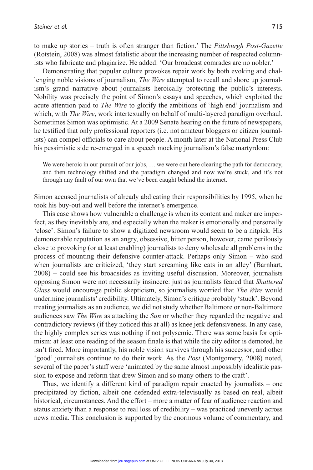to make up stories – truth is often stranger than fiction.' The *Pittsburgh Post-Gazette* (Rotstein, 2008) was almost fatalistic about the increasing number of respected columnists who fabricate and plagiarize. He added: 'Our broadcast comrades are no nobler.'

Demonstrating that popular culture provokes repair work by both evoking and challenging noble visions of journalism, *The Wire* attempted to recall and shore up journalism's grand narrative about journalists heroically protecting the public's interests. Nobility was precisely the point of Simon's essays and speeches, which exploited the acute attention paid to *The Wire* to glorify the ambitions of 'high end' journalism and which, with *The Wire*, work intertexually on behalf of multi-layered paradigm overhaul. Sometimes Simon was optimistic. At a 2009 Senate hearing on the future of newspapers, he testified that only professional reporters (i.e. not amateur bloggers or citizen journalists) can compel officials to care about people. A month later at the National Press Club his pessimistic side re-emerged in a speech mocking journalism's false martyrdom:

We were heroic in our pursuit of our jobs, ... we were out here clearing the path for democracy, and then technology shifted and the paradigm changed and now we're stuck, and it's not through any fault of our own that we've been caught behind the internet.

Simon accused journalists of already abdicating their responsibilities by 1995, when he took his buy-out and well before the internet's emergence.

This case shows how vulnerable a challenge is when its content and maker are imperfect, as they inevitably are, and especially when the maker is emotionally and personally 'close'. Simon's failure to show a digitized newsroom would seem to be a nitpick. His demonstrable reputation as an angry, obsessive, bitter person, however, came perilously close to provoking (or at least enabling) journalists to deny wholesale all problems in the process of mounting their defensive counter-attack. Perhaps only Simon – who said when journalists are criticized, 'they start screaming like cats in an alley' (Barnhart, 2008) – could see his broadsides as inviting useful discussion. Moreover, journalists opposing Simon were not necessarily insincere: just as journalists feared that *Shattered Glass* would encourage public skepticism, so journalists worried that *The Wire* would undermine journalists' credibility. Ultimately, Simon's critique probably 'stuck'. Beyond treating journalists as an audience, we did not study whether Baltimore or non-Baltimore audiences saw *The Wire* as attacking the *Sun* or whether they regarded the negative and contradictory reviews (if they noticed this at all) as knee jerk defensiveness. In any case, the highly complex series was nothing if not polysemic. There was some basis for optimism: at least one reading of the season finale is that while the city editor is demoted, he isn't fired. More importantly, his noble vision survives through his successor; and other 'good' journalists continue to do their work. As the *Post* (Montgomery, 2008) noted, several of the paper's staff were 'animated by the same almost impossibly idealistic passion to expose and reform that drew Simon and so many others to the craft'.

Thus, we identify a different kind of paradigm repair enacted by journalists – one precipitated by fiction, albeit one defended extra-televisually as based on real, albeit historical, circumstances. And the effort – more a matter of fear of audience reaction and status anxiety than a response to real loss of credibility – was practiced unevenly across news media. This conclusion is supported by the enormous volume of commentary, and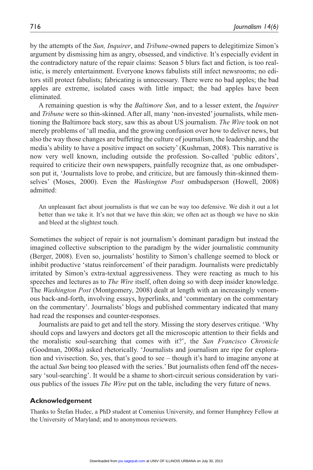by the attempts of the *Sun, Inquirer*, and *Tribune*-owned papers to delegitimize Simon's argument by dismissing him as angry, obsessed, and vindictive. It's especially evident in the contradictory nature of the repair claims: Season 5 blurs fact and fiction, is too realistic, is merely entertainment. Everyone knows fabulists still infect newsrooms; no editors still protect fabulists; fabricating is unnecessary. There were no bad apples; the bad apples are extreme, isolated cases with little impact; the bad apples have been eliminated.

A remaining question is why the *Baltimore Sun*, and to a lesser extent, the *Inquirer* and *Tribune* were so thin-skinned. After all, many 'non-invested' journalists, while mentioning the Baltimore back story, saw this as about US journalism. *The Wire* took on not merely problems of 'all media, and the growing confusion over how to deliver news, but also the way those changes are buffeting the culture of journalism, the leadership, and the media's ability to have a positive impact on society' (Kushman, 2008). This narrative is now very well known, including outside the profession. So-called 'public editors', required to criticize their own newspapers, painfully recognize that, as one ombudsperson put it, 'Journalists love to probe, and criticize, but are famously thin-skinned themselves' (Moses, 2000). Even the *Washington Post* ombudsperson (Howell, 2008) admitted:

An unpleasant fact about journalists is that we can be way too defensive. We dish it out a lot better than we take it. It's not that we have thin skin; we often act as though we have no skin and bleed at the slightest touch.

Sometimes the subject of repair is not journalism's dominant paradigm but instead the imagined collective subscription to the paradigm by the wider journalistic community (Berger, 2008). Even so, journalists' hostility to Simon's challenge seemed to block or inhibit productive 'status reinforcement' of their paradigm. Journalists were predictably irritated by Simon's extra-textual aggressiveness. They were reacting as much to his speeches and lectures as to *The Wire* itself, often doing so with deep insider knowledge. The *Washington Post* (Montgomery, 2008) dealt at length with an increasingly venomous back-and-forth, involving essays, hyperlinks, and 'commentary on the commentary on the commentary'. Journalists' blogs and published commentary indicated that many had read the responses and counter-responses.

Journalists are paid to get and tell the story. Missing the story deserves critique. 'Why should cops and lawyers and doctors get all the microscopic attention to their fields and the moralistic soul-searching that comes with it?', the *San Francisco Chronicle* (Goodman, 2008a) asked rhetorically. 'Journalists and journalism are ripe for exploration and vivisection. So, yes, that's good to see – though it's hard to imagine anyone at the actual *Sun* being too pleased with the series.' But journalists often fend off the necessary 'soul-searching'. It would be a shame to short-circuit serious consideration by various publics of the issues *The Wire* put on the table, including the very future of news.

#### **Acknowledgement**

Thanks to Štefan Hudec, a PhD student at Comenius University, and former Humphrey Fellow at the University of Maryland; and to anonymous reviewers.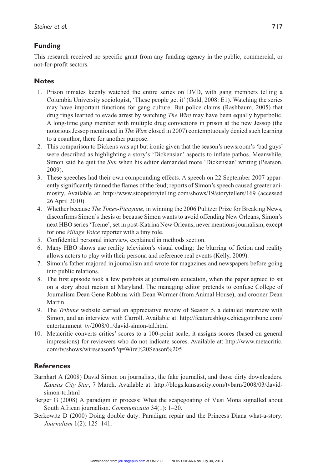## **Funding**

This research received no specific grant from any funding agency in the public, commercial, or not-for-profit sectors.

### **Notes**

- 1. Prison inmates keenly watched the entire series on DVD, with gang members telling a Columbia University sociologist, 'These people get it' (Gold, 2008: E1). Watching the series may have important functions for gang culture. But police claims (Rashbaum, 2005) that drug rings learned to evade arrest by watching *The Wire* may have been equally hyperbolic. A long-time gang member with multiple drug convictions in prison at the new Jessop (the notorious Jessop mentioned in *The Wire* closed in 2007) contemptuously denied such learning to a coauthor, there for another purpose.
- 2. This comparison to Dickens was apt but ironic given that the season's newsroom's 'bad guys' were described as highlighting a story's 'Dickensian' aspects to inflate pathos. Meanwhile, Simon said he quit the *Sun* when his editor demanded more 'Dickensian' writing (Pearson, 2009).
- 3. These speeches had their own compounding effects. A speech on 22 September 2007 apparently significantly fanned the flames of the feud; reports of Simon's speech caused greater animosity. Available at: http://www.stoopstorytelling.com/shows/19/storytellers/169 (accessed 26 April 2010).
- 4. Whether because *The Times-Picayune*, in winning the 2006 Pulitzer Prize for Breaking News, disconfirms Simon's thesis or because Simon wants to avoid offending New Orleans, Simon's next HBO series 'Treme', set in post-Katrina New Orleans, never mentions journalism, except for one *Village Voice* reporter with a tiny role.
- 5. Confidential personal interview, explained in methods section.
- 6. Many HBO shows use reality television's visual coding; the blurring of fiction and reality allows actors to play with their persona and reference real events (Kelly, 2009).
- 7. Simon's father majored in journalism and wrote for magazines and newspapers before going into public relations.
- 8. The first episode took a few potshots at journalism education, when the paper agreed to sit on a story about racism at Maryland. The managing editor pretends to confuse College of Journalism Dean Gene Robbins with Dean Wormer (from Animal House), and crooner Dean Martin.
- 9. The *Tribune* website carried an appreciative review of Season 5, a detailed interview with Simon, and an interview with Carroll. Available at: http://featuresblogs.chicagotribune.com/ entertainment\_tv/2008/01/david-simon-tal.html
- 10. Metacritic converts critics' scores to a 100-point scale; it assigns scores (based on general impressions) for reviewers who do not indicate scores. Available at: http://www.metacritic. com/tv/shows/wireseason5?q=Wire%20Season%205

### **References**

- Barnhart A (2008) David Simon on journalists, the fake journalist, and those dirty downloaders. *Kansas City Star*, 7 March. Available at: http://blogs.kansascity.com/tvbarn/2008/03/davidsimon-to.html
- Berger G (2008) A paradigm in process: What the scapegoating of Vusi Mona signalled about South African journalism. *Communicatio* 34(1): 1–20.
- Berkowitz D (2000) Doing double duty: Paradigm repair and the Princess Diana what-a-story. *Journalism* 1(2): 125–141.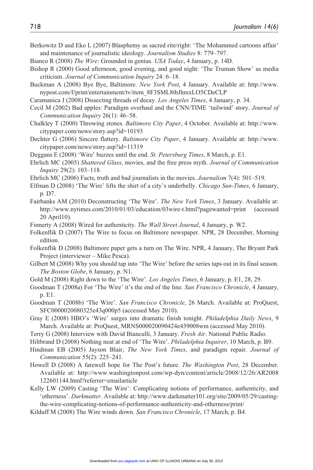- Berkowitz D and Eko L (2007) Blasphemy as sacred rite/right: 'The Mohammed cartoons affair' and maintenance of journalistic ideology. *Journalism Studies* 8: 779–797.
- Bianco R (2008) *The Wire*: Grounded in genius. *USA Today*, 4 January, p. 14D.
- Bishop R (2000) Good afternoon, good evening, and good night: 'The Truman Show' as media criticism. *Journal of Communication Inquiry* 24: 6–18.
- Buckman A (2008) Bye Bye, Baltimore. *New York Post*, 4 January. Available at: http://www. nypost.com/f/print/entertainment/tv/item\_8F3SML8tbJhmxLO5CDeCLP
- Caramanica J (2008) Dissecting threads of decay. *Los Angeles Times*, 4 January, p. 34.
- Cecil M (2002) Bad apples: Paradigm overhaul and the CNN/TIME 'tailwind' story. *Journal of Communication Inquiry* 26(1): 46–58.
- Chalkley T (2000) Throwing stones. *Baltimore City Paper*, 4 October. Available at: http://www. citypaper.com/news/story.asp?id=10193
- Dechter G (2006) Sincere flattery. *Baltimore City Paper*, 4 January. Available at: http://www. citypaper.com/news/story.asp?id=11319
- Deggans E (2008) 'Wire' buzzes until the end. *St. Petersburg Times*, 8 March, p. E1.
- Ehrlich MC (2005) *Shattered Glass*, movies, and the free press myth. *Journal of Communication Inquiry* 29(2): 103–118.
- Ehrlich MC (2006) Facts, truth and bad journalists in the movies. *Journalism* 7(4): 501–519.
- Elfman D (2008) 'The Wire' lifts the shirt of a city's underbelly. *Chicago Sun-Times*, 6 January, p. D7.
- Fairbanks AM (2010) Deconstructing 'The Wire'. *The New York Times*, 3 January. Available at: http://www.nytimes.com/2010/01/03/education/03wire-t.html?pagewanted=print (accessed 20 April10).
- Finnerty A (2008) Wired for authenticity. *The Wall Street Journal*, 4 January, p. W2.
- Folkenflik D (2007) The Wire to focus on Baltimore newspaper. NPR, 28 December, Morning edition.
- Folkenflik D (2008) Baltimore paper gets a turn on The Wire. NPR, 4 January, The Bryant Park Project (interviewer – Mike Pesca).
- Gilbert M (2008) Why you should tap into 'The Wire' before the series taps out in its final season. *The Boston Globe*, 6 January, p. N1.
- Gold M (2008) Right down to the 'The Wire'. *Los Angeles Times*, 6 January, p. E1, 28, 29.
- Goodman T (2008a) For 'The Wire' it's the end of the line. *San Francisco Chronicle*, 4 January, p. E1.
- Goodman T (2008b) 'The Wire'. *San Francisco Chronicle*, 26 March. Available at: ProQuest, SFC0000020080325e43q000p5 (accessed May 2010).
- Gray E (2008) HBO's 'Wire' surges into dramatic finish tonight. *Philadelphia Daily News*, 9 March. Available at: ProQuest, MRNS000020090424e439008wm (accessed May 2010).
- Terry G (2008) Interview with David Bianculli, 3 January. *Fresh Air*. National Public Radio.
- Hiltbrand D (2008) Nothing neat at end of 'The Wire'. *Philadelphia Inquirer*, 10 March, p. B9.
- Hindman EB (2005) Jayson Blair, *The New York Times*, and paradigm repair. *Journal of Communication* 55(2): 225–241.
- Howell D (2008) A farewell hope for The Post's future. *The Washington Post*, 28 December. Available at: http://www.washingtonpost.com/wp-dyn/content/article/2008/12/26/AR2008 122601144.html?referrer=emailarticle
- Kelly LW (2009) Casting 'The Wire': Complicating notions of performance, authenticity, and 'otherness'. *Darkmatter*. Available at: http://www.darkmatter101.org/site/2009/05/29/castingthe-wire-complicating-notions-of-performance-authenticity-and-otherness/print/
- Kilduff M (2008) The Wire winds down. *San Francisco Chronicle*, 17 March, p. B4.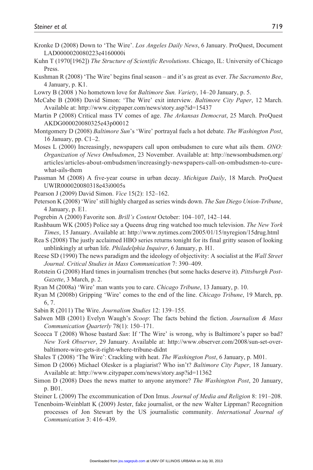- Kronke D (2008) Down to 'The Wire'. *Los Angeles Daily News*, 6 January. ProQuest, Document LAD0000020080223e4160000i
- Kuhn T (1970[1962]) *The Structure of Scientific Revolutions*. Chicago, IL: University of Chicago Press.
- Kushman R (2008) 'The Wire' begins final season and it's as great as ever. *The Sacramento Bee*, 4 January, p. K1.
- Lowry B (2008 ) No hometown love for *Baltimore Sun. Variety*, 14–20 January, p. 5.
- McCabe B (2008) David Simon: 'The Wire' exit interview. *Baltimore City Paper*, 12 March. Available at: http://www.citypaper.com/news/story.asp?id=15437
- Martin P (2008) Critical mass TV comes of age. *The Arkansas Democrat*, 25 March. ProQuest AKDG000020080325e43p00012
- Montgomery D (2008) *Baltimore Sun*'s 'Wire' portrayal fuels a hot debate. *The Washington Post*, 16 January, pp. C1–2.
- Moses L (2000) Increasingly, newspapers call upon ombudsmen to cure what ails them. *ONO: Organization of News Ombudsmen*, 23 November. Available at: http://newsombudsmen.org/ articles/articles-about-ombudsmen/increasingly-newspapers-call-on-ombudsmen-to-curewhat-ails-them
- Passman M (2008) A five-year course in urban decay. *Michigan Daily*, 18 March. ProQuest UWIR000020080318e43i0005s
- Pearson J (2009) David Simon. *Vice* 15(2): 152–162.
- Peterson K (2008) 'Wire' still highly charged as series winds down. *The San Diego Union-Tribune*, 4 January, p. E1.
- Pogrebin A (2000) Favorite son. *Brill's Content* October: 104–107, 142–144.
- Rashbaum WK (2005) Police say a Queens drug ring watched too much television. *The New York Times*, 15 January. Available at: http://www.nytimes.com/2005/01/15/nyregion/15drug.html
- Rea S (2008) The justly acclaimed HBO series returns tonight for its final gritty season of looking unblinkingly at urban life. *Philadelphia Inquirer*, 6 January, p. H1.
- Reese SD (1990) The news paradigm and the ideology of objectivity: A socialist at the *Wall Street Journal. Critical Studies in Mass Communication* 7: 390–409.
- Rotstein G (2008) Hard times in journalism trenches (but some hacks deserve it). *Pittsburgh Post-Gazette*, 3 March, p. 2.
- Ryan M (2008a) 'Wire' man wants you to care. *Chicago Tribune*, 13 January, p. 10.
- Ryan M (2008b) Gripping 'Wire' comes to the end of the line. *Chicago Tribune*, 19 March, pp. 6, 7.
- Sabin R (2011) The Wire. *Journalism Studies* 12: 139–155.
- Salwen MB (2001) Evelyn Waugh's *Scoop*: The facts behind the fiction. *Journalism & Mass Communication Quarterly* 78(1): 150–171.
- Scocca T (2008) Whose bastard *Sun*: If 'The Wire' is wrong, why is Baltimore's paper so bad? *New York Observer*, 29 January. Available at: http://www.observer.com/2008/sun-set-overbaltimore-wire-gets-it-right-where-tribune-didnt
- Shales T (2008) 'The Wire': Crackling with heat. *The Washington Post*, 6 January, p. M01.
- Simon D (2006) Michael Olesker is a plagiarist? Who isn't? *Baltimore City Paper*, 18 January. Available at: http://www.citypaper.com/news/story.asp?id=11362
- Simon D (2008) Does the news matter to anyone anymore? *The Washington Post*, 20 January, p. B01.
- Steiner L (2009) The excommunication of Don Imus. *Journal of Media and Religion* 8: 191–208.
- Tenenboim-Weinblatt K (2009) Jester, fake journalist, or the new Walter Lippman? Recognition processes of Jon Stewart by the US journalistic community. *International Journal of Communication* 3: 416–439.